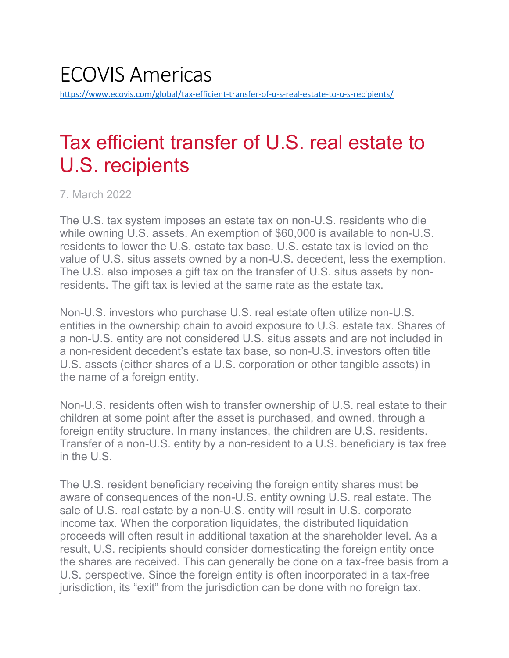# ECOVIS Americas <https://www.ecovis.com/global/tax-efficient-transfer-of-u-s-real-estate-to-u-s-recipients/>

# Tax efficient transfer of U.S. real estate to U.S. recipients

7. March 2022

The U.S. tax system imposes an estate tax on non-U.S. residents who die while owning U.S. assets. An exemption of \$60,000 is available to non-U.S. residents to lower the U.S. estate tax base. U.S. estate tax is levied on the value of U.S. situs assets owned by a non-U.S. decedent, less the exemption. The U.S. also imposes a gift tax on the transfer of U.S. situs assets by nonresidents. The gift tax is levied at the same rate as the estate tax.

Non-U.S. investors who purchase U.S. real estate often utilize non-U.S. entities in the ownership chain to avoid exposure to U.S. estate tax. Shares of a non-U.S. entity are not considered U.S. situs assets and are not included in a non-resident decedent's estate tax base, so non-U.S. investors often title U.S. assets (either shares of a U.S. corporation or other tangible assets) in the name of a foreign entity.

Non-U.S. residents often wish to transfer ownership of U.S. real estate to their children at some point after the asset is purchased, and owned, through a foreign entity structure. In many instances, the children are U.S. residents. Transfer of a non-U.S. entity by a non-resident to a U.S. beneficiary is tax free in the U.S.

The U.S. resident beneficiary receiving the foreign entity shares must be aware of consequences of the non-U.S. entity owning U.S. real estate. The sale of U.S. real estate by a non-U.S. entity will result in U.S. corporate income tax. When the corporation liquidates, the distributed liquidation proceeds will often result in additional taxation at the shareholder level. As a result, U.S. recipients should consider domesticating the foreign entity once the shares are received. This can generally be done on a tax-free basis from a U.S. perspective. Since the foreign entity is often incorporated in a tax-free jurisdiction, its "exit" from the jurisdiction can be done with no foreign tax.